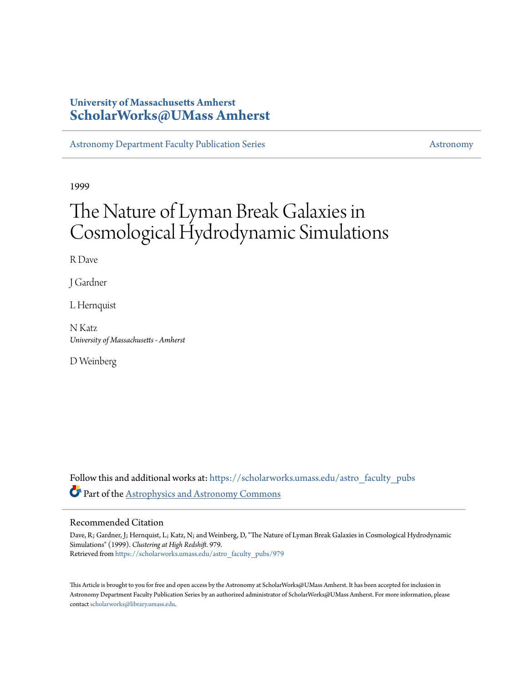# **University of Massachusetts Amherst [ScholarWorks@UMass Amherst](https://scholarworks.umass.edu?utm_source=scholarworks.umass.edu%2Fastro_faculty_pubs%2F979&utm_medium=PDF&utm_campaign=PDFCoverPages)**

[Astronomy Department Faculty Publication Series](https://scholarworks.umass.edu/astro_faculty_pubs?utm_source=scholarworks.umass.edu%2Fastro_faculty_pubs%2F979&utm_medium=PDF&utm_campaign=PDFCoverPages) [Astronomy](https://scholarworks.umass.edu/astro?utm_source=scholarworks.umass.edu%2Fastro_faculty_pubs%2F979&utm_medium=PDF&utm_campaign=PDFCoverPages) Astronomy

1999

# The Nature of Lyman Break Galaxies in Cosmological Hydrodynamic Simulations

R Dave

J Gardner

L Hernquist

N Katz *University of Massachusetts - Amherst*

D Weinberg

Follow this and additional works at: [https://scholarworks.umass.edu/astro\\_faculty\\_pubs](https://scholarworks.umass.edu/astro_faculty_pubs?utm_source=scholarworks.umass.edu%2Fastro_faculty_pubs%2F979&utm_medium=PDF&utm_campaign=PDFCoverPages) Part of the [Astrophysics and Astronomy Commons](http://network.bepress.com/hgg/discipline/123?utm_source=scholarworks.umass.edu%2Fastro_faculty_pubs%2F979&utm_medium=PDF&utm_campaign=PDFCoverPages)

## Recommended Citation

Dave, R; Gardner, J; Hernquist, L; Katz, N; and Weinberg, D, "The Nature of Lyman Break Galaxies in Cosmological Hydrodynamic Simulations" (1999). *Clustering at High Redshift*. 979. Retrieved from [https://scholarworks.umass.edu/astro\\_faculty\\_pubs/979](https://scholarworks.umass.edu/astro_faculty_pubs/979?utm_source=scholarworks.umass.edu%2Fastro_faculty_pubs%2F979&utm_medium=PDF&utm_campaign=PDFCoverPages)

This Article is brought to you for free and open access by the Astronomy at ScholarWorks@UMass Amherst. It has been accepted for inclusion in Astronomy Department Faculty Publication Series by an authorized administrator of ScholarWorks@UMass Amherst. For more information, please contact [scholarworks@library.umass.edu](mailto:scholarworks@library.umass.edu).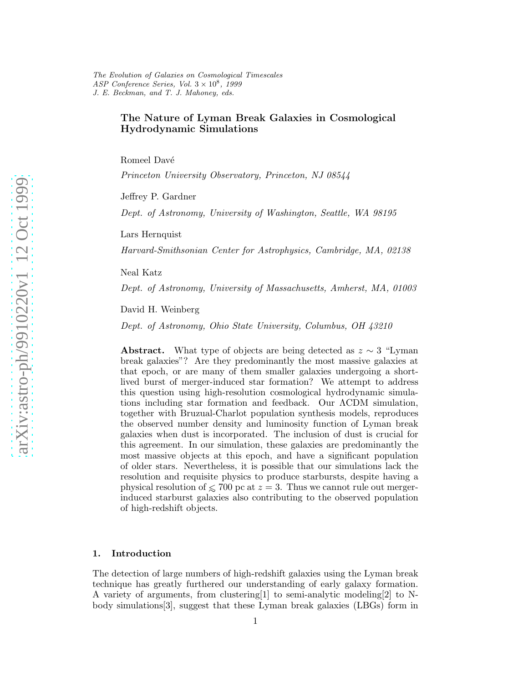## The Nature of Lyman Break Galaxies in Cosmological Hydrodynamic Simulations

Romeel Davé

Princeton University Observatory, Princeton, NJ 08544

Jeffrey P. Gardner

Dept. of Astronomy, University of Washington, Seattle, WA 98195

Lars Hernquist

Harvard-Smithsonian Center for Astrophysics, Cambridge, MA, 02138

Neal Katz

Dept. of Astronomy, University of Massachusetts, Amherst, MA, 01003

David H. Weinberg

Dept. of Astronomy, Ohio State University, Columbus, OH 43210

Abstract. What type of objects are being detected as  $z \sim 3$  "Lyman" break galaxies"? Are they predominantly the most massive galaxies at that epoch, or are many of them smaller galaxies undergoing a shortlived burst of merger-induced star formation? We attempt to address this question using high-resolution cosmological hydrodynamic simulations including star formation and feedback. Our ΛCDM simulation, together with Bruzual-Charlot population synthesis models, reproduces the observed number density and luminosity function of Lyman break galaxies when dust is incorporated. The inclusion of dust is crucial for this agreement. In our simulation, these galaxies are predominantly the most massive objects at this epoch, and have a significant population of older stars. Nevertheless, it is possible that our simulations lack the resolution and requisite physics to produce starbursts, despite having a physical resolution of  $\leq 700$  pc at  $z = 3$ . Thus we cannot rule out mergerinduced starburst galaxies also contributing to the observed population of high-redshift objects.

#### 1. Introduction

The detection of large numbers of high-redshift galaxies using the Lyman break technique has greatly furthered our understanding of early galaxy formation. A variety of arguments, from clustering[1] to semi-analytic modeling[2] to Nbody simulations[3], suggest that these Lyman break galaxies (LBGs) form in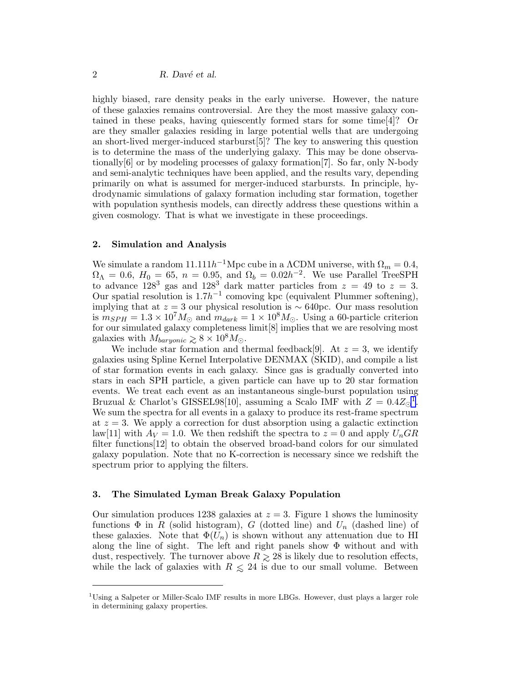highly biased, rare density peaks in the early universe. However, the nature of these galaxies remains controversial. Are they the most massive galaxy contained in these peaks, having quiescently formed stars for some time[4]? Or are they smaller galaxies residing in large potential wells that are undergoing an short-lived merger-induced starburst[5]? The key to answering this question is to determine the mass of the underlying galaxy. This may be done observationally[6] or by modeling processes of galaxy formation[7]. So far, only N-body and semi-analytic techniques have been applied, and the results vary, depending primarily on what is assumed for merger-induced starbursts. In principle, hydrodynamic simulations of galaxy formation including star formation, together with population synthesis models, can directly address these questions within a given cosmology. That is what we investigate in these proceedings.

#### 2. Simulation and Analysis

We simulate a random  $11.111h^{-1}\text{Mpc}$  cube in a  $\Lambda \text{CDM}$  universe, with  $\Omega_m = 0.4$ ,  $\Omega_{\Lambda} = 0.6, H_0 = 65, n = 0.95, \text{ and } \Omega_b = 0.02h^{-2}.$  We use Parallel TreeSPH to advance  $128^3$  gas and  $128^3$  dark matter particles from  $z = 49$  to  $z = 3$ . Our spatial resolution is  $1.7h^{-1}$  comoving kpc (equivalent Plummer softening), implying that at  $z = 3$  our physical resolution is ~ 640pc. Our mass resolution is  $m_{SPH} = 1.3 \times 10^7 M_{\odot}$  and  $m_{dark} = 1 \times 10^8 M_{\odot}$ . Using a 60-particle criterion for our simulated galaxy completeness limit[8] implies that we are resolving most galaxies with  $M_{baryonic} \geq 8 \times 10^8 M_{\odot}$ .

We include star formation and thermal feedback[9]. At  $z = 3$ , we identify galaxies using Spline Kernel Interpolative DENMAX (SKID), and compile a list of star formation events in each galaxy. Since gas is gradually converted into stars in each SPH particle, a given particle can have up to 20 star formation events. We treat each event as an instantaneous single-burst population using Bruzual & Charlot's GISSEL98[10], assuming a Scalo IMF with  $Z = 0.4 Z_{\odot}^{-1}$ . We sum the spectra for all events in a galaxy to produce its rest-frame spectrum at  $z = 3$ . We apply a correction for dust absorption using a galactic extinction law[11] with  $A_V = 1.0$ . We then redshift the spectra to  $z = 0$  and apply  $U_n G R$ filter functions[12] to obtain the observed broad-band colors for our simulated galaxy population. Note that no K-correction is necessary since we redshift the spectrum prior to applying the filters.

#### 3. The Simulated Lyman Break Galaxy Population

Our simulation produces 1238 galaxies at  $z = 3$ . Figure 1 shows the luminosity functions  $\Phi$  in R (solid histogram), G (dotted line) and  $U_n$  (dashed line) of these galaxies. Note that  $\Phi(U_n)$  is shown without any attenuation due to HI along the line of sight. The left and right panels show  $\Phi$  without and with dust, respectively. The turnover above  $R \ge 28$  is likely due to resolution effects, while the lack of galaxies with  $R \le 24$  is due to our small volume. Between

<sup>&</sup>lt;sup>1</sup>Using a Salpeter or Miller-Scalo IMF results in more LBGs. However, dust plays a larger role in determining galaxy properties.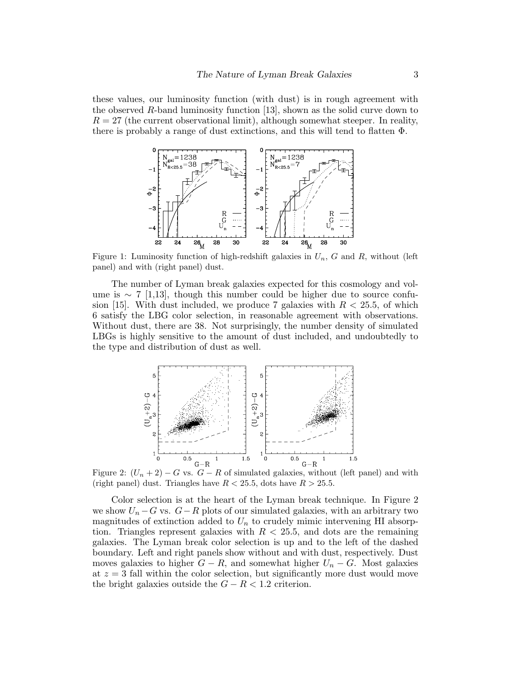these values, our luminosity function (with dust) is in rough agreement with the observed R-band luminosity function [13], shown as the solid curve down to  $R = 27$  (the current observational limit), although somewhat steeper. In reality, there is probably a range of dust extinctions, and this will tend to flatten Φ.



Figure 1: Luminosity function of high-redshift galaxies in  $U_n$ , G and R, without (left panel) and with (right panel) dust.

The number of Lyman break galaxies expected for this cosmology and volume is  $\sim 7$  [1,13], though this number could be higher due to source confusion [15]. With dust included, we produce 7 galaxies with  $R < 25.5$ , of which 6 satisfy the LBG color selection, in reasonable agreement with observations. Without dust, there are 38. Not surprisingly, the number density of simulated LBGs is highly sensitive to the amount of dust included, and undoubtedly to the type and distribution of dust as well.



Figure 2:  $(U_n + 2) - G$  vs.  $G - R$  of simulated galaxies, without (left panel) and with (right panel) dust. Triangles have  $R < 25.5$ , dots have  $R > 25.5$ .

Color selection is at the heart of the Lyman break technique. In Figure 2 we show  $U_n - G$  vs.  $G - R$  plots of our simulated galaxies, with an arbitrary two magnitudes of extinction added to  $U_n$  to crudely mimic intervening HI absorption. Triangles represent galaxies with  $R < 25.5$ , and dots are the remaining galaxies. The Lyman break color selection is up and to the left of the dashed boundary. Left and right panels show without and with dust, respectively. Dust moves galaxies to higher  $G - R$ , and somewhat higher  $U_n - G$ . Most galaxies at  $z = 3$  fall within the color selection, but significantly more dust would move the bright galaxies outside the  $G - R < 1.2$  criterion.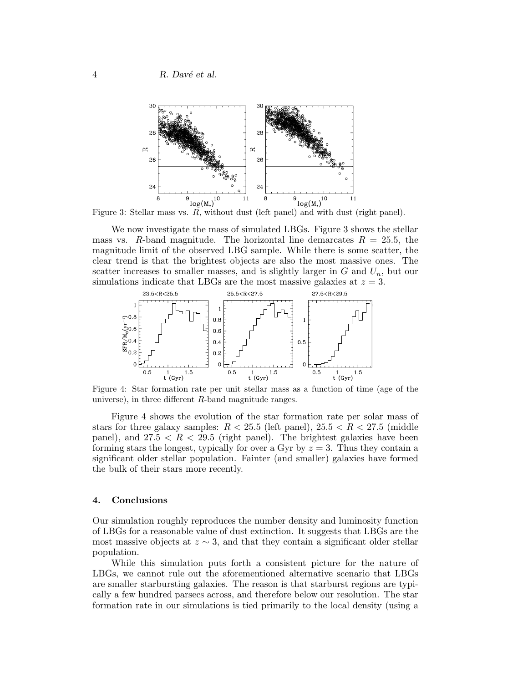

Figure 3: Stellar mass vs. R, without dust (left panel) and with dust (right panel).

We now investigate the mass of simulated LBGs. Figure 3 shows the stellar mass vs. R-band magnitude. The horizontal line demarcates  $R = 25.5$ , the magnitude limit of the observed LBG sample. While there is some scatter, the clear trend is that the brightest objects are also the most massive ones. The scatter increases to smaller masses, and is slightly larger in  $G$  and  $U_n$ , but our simulations indicate that LBGs are the most massive galaxies at  $z = 3$ .



Figure 4: Star formation rate per unit stellar mass as a function of time (age of the universe), in three different  $R$ -band magnitude ranges.

Figure 4 shows the evolution of the star formation rate per solar mass of stars for three galaxy samples:  $R < 25.5$  (left panel),  $25.5 < R < 27.5$  (middle panel), and  $27.5 < R < 29.5$  (right panel). The brightest galaxies have been forming stars the longest, typically for over a Gyr by  $z = 3$ . Thus they contain a significant older stellar population. Fainter (and smaller) galaxies have formed the bulk of their stars more recently.

#### 4. Conclusions

Our simulation roughly reproduces the number density and luminosity function of LBGs for a reasonable value of dust extinction. It suggests that LBGs are the most massive objects at  $z \sim 3$ , and that they contain a significant older stellar population.

While this simulation puts forth a consistent picture for the nature of LBGs, we cannot rule out the aforementioned alternative scenario that LBGs are smaller starbursting galaxies. The reason is that starburst regions are typically a few hundred parsecs across, and therefore below our resolution. The star formation rate in our simulations is tied primarily to the local density (using a